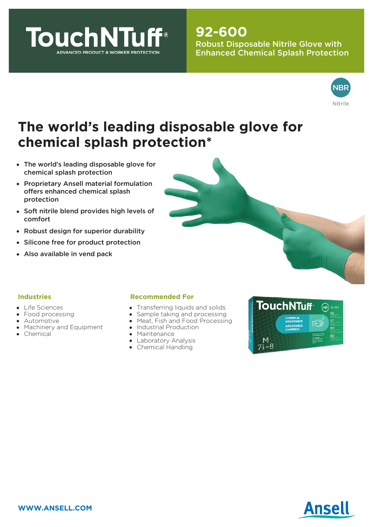

# **92-600**

Robust Disposable Nitrile Glove with Enhanced Chemical Splash Protection



# **The world's leading disposable glove for chemical splash protection\***

- The world's leading disposable glove for chemical splash protection
- Proprietary Ansell material formulation offers enhanced chemical splash protection
- Soft nitrile blend provides high levels of comfort
- Robust design for superior durability
- Silicone free for product protection
- Also available in vend pack



### **Industries**

- Life Sciences
- Food processing
- **•** Automotive
- Machinery and Equipment
- Chemical

#### **Recommended For**

- Transferring liquids and solids  $\bullet$
- Sample taking and processing
- Meat, Fish and Food Processing
- Industrial Production
- Maintenance
- Laboratory Analysis
- Chemical Handling